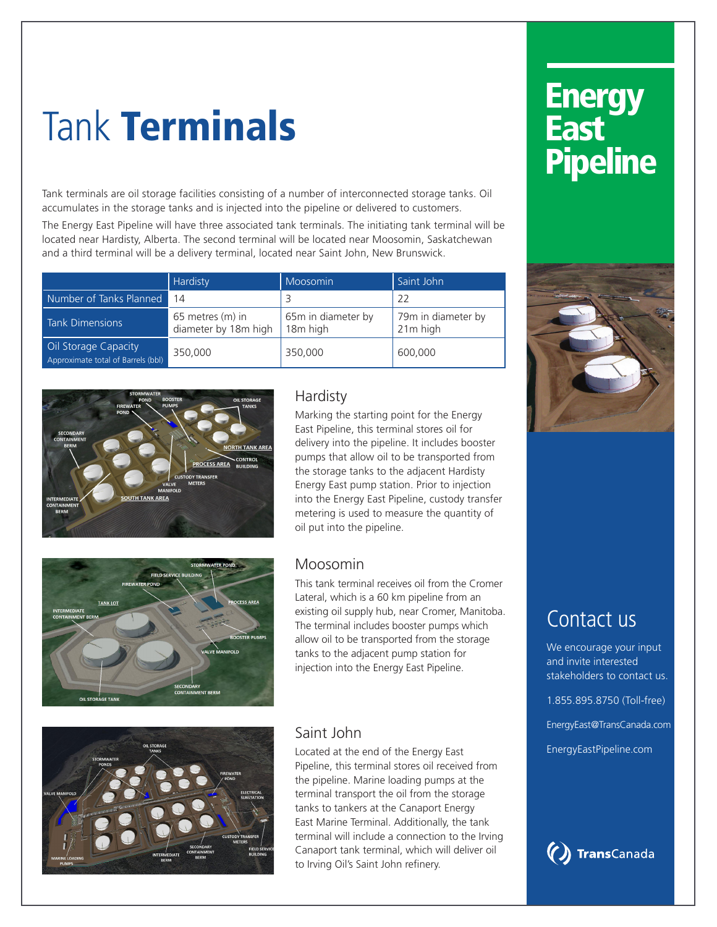# Tank Terminals

Tank terminals are oil storage facilities consisting of a number of interconnected storage tanks. Oil accumulates in the storage tanks and is injected into the pipeline or delivered to customers.

The Energy East Pipeline will have three associated tank terminals. The initiating tank terminal will be located near Hardisty, Alberta. The second terminal will be located near Moosomin, Saskatchewan and a third terminal will be a delivery terminal, located near Saint John, New Brunswick.

|                                                            | Hardisty                                 | Moosomin                       | Saint John                     |
|------------------------------------------------------------|------------------------------------------|--------------------------------|--------------------------------|
| Number of Tanks Planned                                    | 14                                       |                                | 22                             |
| <b>Tank Dimensions</b>                                     | 65 metres (m) in<br>diameter by 18m high | 65m in diameter by<br>18m high | 79m in diameter by<br>21m high |
| Oil Storage Capacity<br>Approximate total of Barrels (bbl) | 350,000                                  | 350,000                        | 600,000                        |



#### Hardisty

Marking the starting point for the Energy East Pipeline, this terminal stores oil for delivery into the pipeline. It includes booster pumps that allow oil to be transported from the storage tanks to the adjacent Hardisty Energy East pump station. Prior to injection into the Energy East Pipeline, custody transfer metering is used to measure the quantity of oil put into the pipeline.



#### Moosomin

This tank terminal receives oil from the Cromer Lateral, which is a 60 km pipeline from an existing oil supply hub, near Cromer, Manitoba. The terminal includes booster pumps which allow oil to be transported from the storage tanks to the adjacent pump station for injection into the Energy East Pipeline.



#### Saint John

Located at the end of the Energy East Pipeline, this terminal stores oil received from the pipeline. Marine loading pumps at the terminal transport the oil from the storage tanks to tankers at the Canaport Energy East Marine Terminal. Additionally, the tank terminal will include a connection to the Irving Canaport tank terminal, which will deliver oil to Irving Oil's Saint John refinery.





# Contact us

We encourage your input and invite interested stakeholders to contact us.

1.855.895.8750 (Toll-free)

EnergyEast@TransCanada.com

EnergyEastPipeline.com